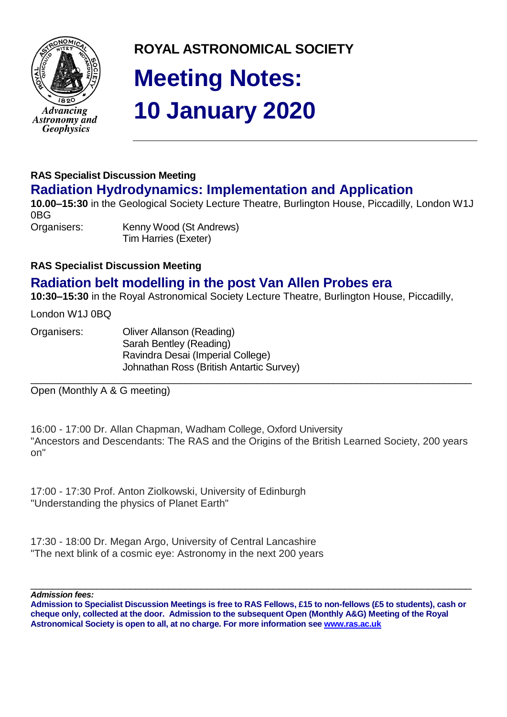

**ROYAL ASTRONOMICAL SOCIETY**

# **Meeting Notes: 10 January 2020**

# **RAS Specialist Discussion Meeting Radiation Hydrodynamics: Implementation and Application**

**10.00–15:30** in the Geological Society Lecture Theatre, Burlington House, Piccadilly, London W1J 0BG Organisers: Kenny Wood (St Andrews)

Tim Harries (Exeter)

## **RAS Specialist Discussion Meeting**

# **Radiation belt modelling in the post Van Allen Probes era**

**10:30–15:30** in the Royal Astronomical Society Lecture Theatre, Burlington House, Piccadilly,

London W1J 0BQ

Organisers: Oliver Allanson (Reading) Sarah Bentley (Reading) Ravindra Desai (Imperial College) Johnathan Ross (British Antartic Survey)

\_\_\_\_\_\_\_\_\_\_\_\_\_\_\_\_\_\_\_\_\_\_\_\_\_\_\_\_\_\_\_\_\_\_\_\_\_\_\_\_\_\_\_\_\_\_\_\_\_\_\_\_\_\_\_\_\_\_\_\_\_\_\_\_\_\_\_\_\_\_\_\_\_\_\_\_\_\_\_\_ Open (Monthly A & G meeting)

16:00 - 17:00 Dr. Allan Chapman, Wadham College, Oxford University "Ancestors and Descendants: The RAS and the Origins of the British Learned Society, 200 years on"

17:00 - 17:30 Prof. Anton Ziolkowski, University of Edinburgh "Understanding the physics of Planet Earth"

17:30 - 18:00 Dr. Megan Argo, University of Central Lancashire "The next blink of a cosmic eye: Astronomy in the next 200 years

\_\_\_\_\_\_\_\_\_\_\_\_\_\_\_\_\_\_\_\_\_\_\_\_\_\_\_\_\_\_\_\_\_\_\_\_\_\_\_\_\_\_\_\_\_\_\_\_\_\_\_\_\_\_\_\_\_\_\_\_\_\_\_\_\_\_\_\_\_\_\_\_\_\_\_\_\_\_\_\_ *Admission fees:*

**Admission to Specialist Discussion Meetings is free to RAS Fellows, £15 to non-fellows (£5 to students), cash or cheque only, collected at the door. Admission to the subsequent Open (Monthly A&G) Meeting of the Royal Astronomical Society is open to all, at no charge. For more information see [www.ras.ac.uk](http://www.ras.ac.uk/)**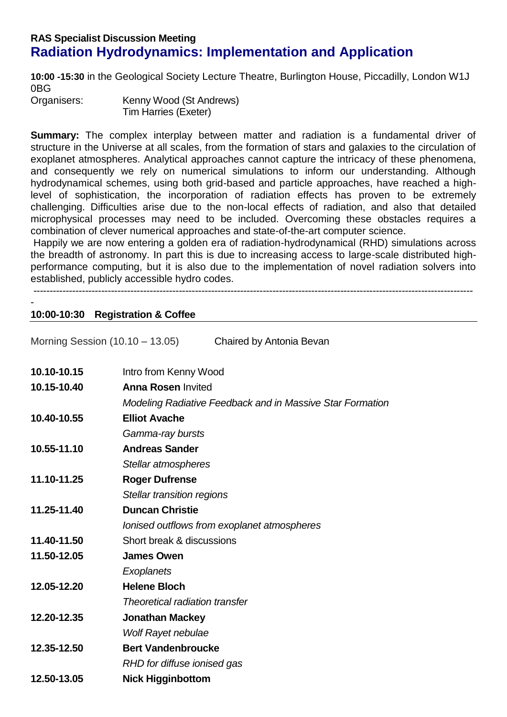## **RAS Specialist Discussion Meeting Radiation Hydrodynamics: Implementation and Application**

**10:00 -15:30** in the Geological Society Lecture Theatre, Burlington House, Piccadilly, London W1J 0BG

Organisers: Kenny Wood (St Andrews) Tim Harries (Exeter)

**Summary:** The complex interplay between matter and radiation is a fundamental driver of structure in the Universe at all scales, from the formation of stars and galaxies to the circulation of exoplanet atmospheres. Analytical approaches cannot capture the intricacy of these phenomena, and consequently we rely on numerical simulations to inform our understanding. Although hydrodynamical schemes, using both grid-based and particle approaches, have reached a highlevel of sophistication, the incorporation of radiation effects has proven to be extremely challenging. Difficulties arise due to the non-local effects of radiation, and also that detailed microphysical processes may need to be included. Overcoming these obstacles requires a combination of clever numerical approaches and state-of-the-art computer science.

Happily we are now entering a golden era of radiation-hydrodynamical (RHD) simulations across the breadth of astronomy. In part this is due to increasing access to large-scale distributed highperformance computing, but it is also due to the implementation of novel radiation solvers into established, publicly accessible hydro codes.

----------------------------------------------------------------------------------------------------------------------------------------

#### - **10:00-10:30 Registration & Coffee**

Morning Session (10.10 – 13.05) Chaired by Antonia Bevan **10.10-10.15** Intro from Kenny Wood **10.15-10.40 Anna Rosen** Invited *Modeling Radiative Feedback and in Massive Star Formation* **10.40-10.55 Elliot Avache** *Gamma-ray bursts* **10.55-11.10 Andreas Sander** *Stellar atmospheres*  **11.10-11.25 Roger Dufrense** *Stellar transition regions* **11.25-11.40 Duncan Christie** *Ionised outflows from exoplanet atmospheres* **11.40-11.50** Short break & discussions **11.50-12.05 James Owen**  *Exoplanets* **12.05-12.20 Helene Bloch** *Theoretical radiation transfer* **12.20-12.35 Jonathan Mackey** *Wolf Rayet nebulae* **12.35-12.50 Bert Vandenbroucke** *RHD for diffuse ionised gas* **12.50-13.05 Nick Higginbottom**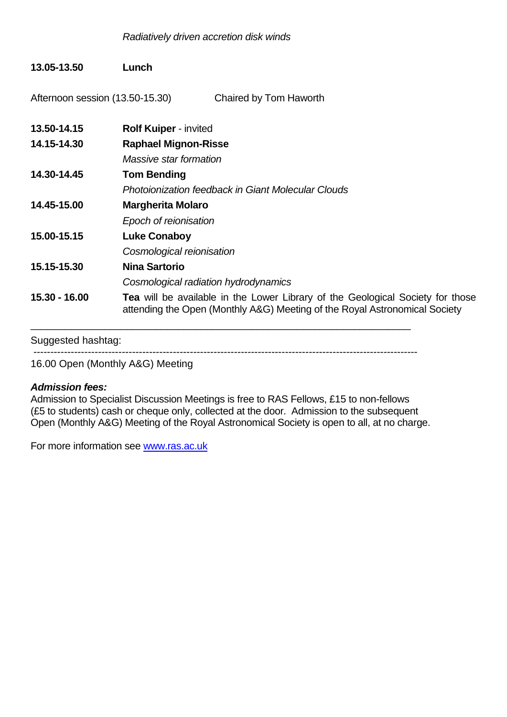### **13.05-13.50 Lunch**

Afternoon session (13.50-15.30) Chaired by Tom Haworth

| 13.50-14.15   | <b>Rolf Kuiper - invited</b>                                                                                                                                        |
|---------------|---------------------------------------------------------------------------------------------------------------------------------------------------------------------|
| 14.15-14.30   | <b>Raphael Mignon-Risse</b>                                                                                                                                         |
|               | Massive star formation                                                                                                                                              |
| 14.30-14.45   | <b>Tom Bending</b>                                                                                                                                                  |
|               | <b>Photoionization feedback in Giant Molecular Clouds</b>                                                                                                           |
| 14.45-15.00   | <b>Margherita Molaro</b>                                                                                                                                            |
|               | Epoch of reionisation                                                                                                                                               |
| 15.00-15.15   | <b>Luke Conaboy</b>                                                                                                                                                 |
|               | Cosmological reionisation                                                                                                                                           |
| 15.15-15.30   | Nina Sartorio                                                                                                                                                       |
|               | Cosmological radiation hydrodynamics                                                                                                                                |
| 15.30 - 16.00 | <b>Tea</b> will be available in the Lower Library of the Geological Society for those<br>attending the Open (Monthly A&G) Meeting of the Royal Astronomical Society |
|               |                                                                                                                                                                     |

Suggested hashtag:

-----------------------------------------------------------------------------------------------------------------

16.00 Open (Monthly A&G) Meeting

#### *Admission fees:*

Admission to Specialist Discussion Meetings is free to RAS Fellows, £15 to non-fellows (£5 to students) cash or cheque only, collected at the door. Admission to the subsequent Open (Monthly A&G) Meeting of the Royal Astronomical Society is open to all, at no charge.

For more information see [www.ras.ac.uk](http://www.ras.ac.uk/)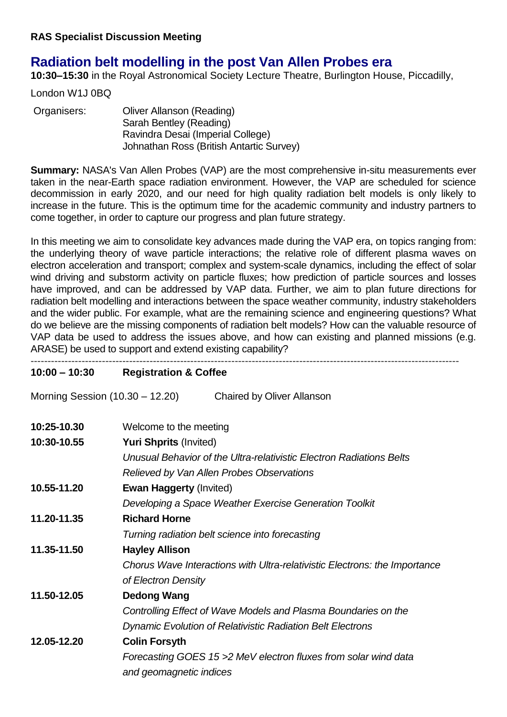# **Radiation belt modelling in the post Van Allen Probes era**

**10:30–15:30** in the Royal Astronomical Society Lecture Theatre, Burlington House, Piccadilly,

London W1J 0BQ

| Organisers: | Oliver Allanson (Reading)                |
|-------------|------------------------------------------|
|             | Sarah Bentley (Reading)                  |
|             | Ravindra Desai (Imperial College)        |
|             | Johnathan Ross (British Antartic Survey) |

**Summary:** NASA's Van Allen Probes (VAP) are the most comprehensive in-situ measurements ever taken in the near-Earth space radiation environment. However, the VAP are scheduled for science decommission in early 2020, and our need for high quality radiation belt models is only likely to increase in the future. This is the optimum time for the academic community and industry partners to come together, in order to capture our progress and plan future strategy.

In this meeting we aim to consolidate key advances made during the VAP era, on topics ranging from: the underlying theory of wave particle interactions; the relative role of different plasma waves on electron acceleration and transport; complex and system-scale dynamics, including the effect of solar wind driving and substorm activity on particle fluxes; how prediction of particle sources and losses have improved, and can be addressed by VAP data. Further, we aim to plan future directions for radiation belt modelling and interactions between the space weather community, industry stakeholders and the wider public. For example, what are the remaining science and engineering questions? What do we believe are the missing components of radiation belt models? How can the valuable resource of VAP data be used to address the issues above, and how can existing and planned missions (e.g. ARASE) be used to support and extend existing capability? ------------------------------------------------------------------------------------------------------------------------------

#### **10:00 – 10:30 Registration & Coffee**

Morning Session (10.30 – 12.20) Chaired by Oliver Allanson

| 10:25-10.30 | Welcome to the meeting                                                     |
|-------------|----------------------------------------------------------------------------|
| 10:30-10.55 | <b>Yuri Shprits (Invited)</b>                                              |
|             | Unusual Behavior of the Ultra-relativistic Electron Radiations Belts       |
|             | Relieved by Van Allen Probes Observations                                  |
| 10.55-11.20 | <b>Ewan Haggerty (Invited)</b>                                             |
|             | Developing a Space Weather Exercise Generation Toolkit                     |
| 11.20-11.35 | <b>Richard Horne</b>                                                       |
|             | Turning radiation belt science into forecasting                            |
| 11.35-11.50 | <b>Hayley Allison</b>                                                      |
|             | Chorus Wave Interactions with Ultra-relativistic Electrons: the Importance |
|             | of Electron Density                                                        |
| 11.50-12.05 | <b>Dedong Wang</b>                                                         |
|             | Controlling Effect of Wave Models and Plasma Boundaries on the             |
|             | <b>Dynamic Evolution of Relativistic Radiation Belt Electrons</b>          |
| 12.05-12.20 | <b>Colin Forsyth</b>                                                       |
|             | Forecasting GOES 15 > 2 MeV electron fluxes from solar wind data           |
|             | and geomagnetic indices                                                    |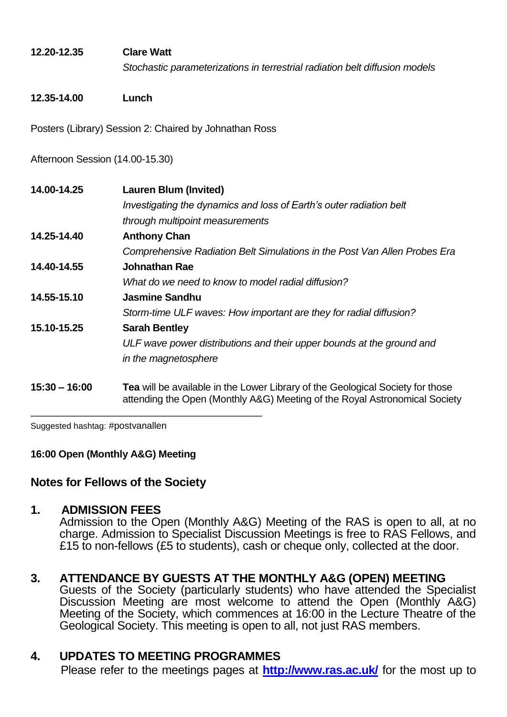## **12.20-12.35 Clare Watt**

*Stochastic parameterizations in terrestrial radiation belt diffusion models*

#### **12.35-14.00 Lunch**

Posters (Library) Session 2: Chaired by Johnathan Ross

Afternoon Session (14.00-15.30)

| 14.00-14.25     | <b>Lauren Blum (Invited)</b>                                                                                                                                        |
|-----------------|---------------------------------------------------------------------------------------------------------------------------------------------------------------------|
|                 | Investigating the dynamics and loss of Earth's outer radiation belt                                                                                                 |
|                 | through multipoint measurements                                                                                                                                     |
| 14.25-14.40     | <b>Anthony Chan</b>                                                                                                                                                 |
|                 | Comprehensive Radiation Belt Simulations in the Post Van Allen Probes Era                                                                                           |
| 14.40-14.55     | Johnathan Rae                                                                                                                                                       |
|                 | What do we need to know to model radial diffusion?                                                                                                                  |
| 14.55-15.10     | Jasmine Sandhu                                                                                                                                                      |
|                 | Storm-time ULF waves: How important are they for radial diffusion?                                                                                                  |
| 15.10-15.25     | <b>Sarah Bentley</b>                                                                                                                                                |
|                 | ULF wave power distributions and their upper bounds at the ground and                                                                                               |
|                 | in the magnetosphere                                                                                                                                                |
| $15:30 - 16:00$ | <b>Tea</b> will be available in the Lower Library of the Geological Society for those<br>attending the Open (Monthly A&G) Meeting of the Royal Astronomical Society |

Suggested hashtag: #postvanallen

**16:00 Open (Monthly A&G) Meeting**

 $\overline{\phantom{a}}$  , and the contract of the contract of the contract of the contract of the contract of the contract of the contract of the contract of the contract of the contract of the contract of the contract of the contrac

## **Notes for Fellows of the Society**

#### **1. ADMISSION FEES**

Admission to the Open (Monthly A&G) Meeting of the RAS is open to all, at no charge. Admission to Specialist Discussion Meetings is free to RAS Fellows, and £15 to non-fellows (£5 to students), cash or cheque only, collected at the door.

# **3. ATTENDANCE BY GUESTS AT THE MONTHLY A&G (OPEN) MEETING**

Guests of the Society (particularly students) who have attended the Specialist Discussion Meeting are most welcome to attend the Open (Monthly A&G) Meeting of the Society, which commences at 16:00 in the Lecture Theatre of the Geological Society. This meeting is open to all, not just RAS members.

## **4. UPDATES TO MEETING PROGRAMMES**

Please refer to the meetings pages at **<http://www.ras.ac.uk/>** for the most up to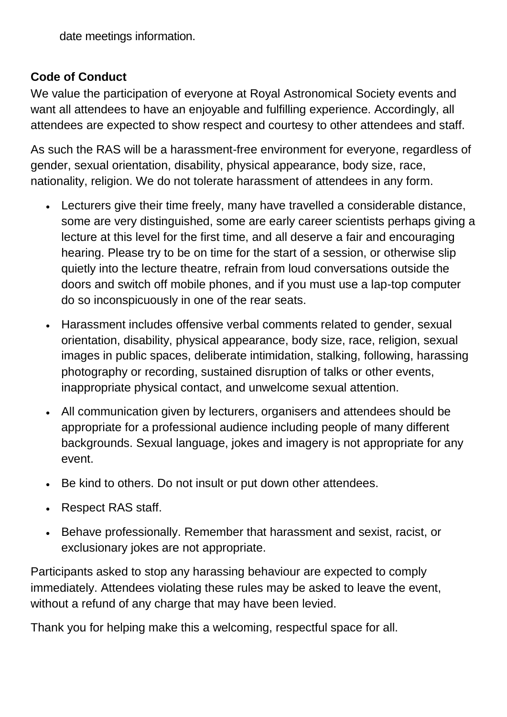date meetings information.

# **Code of Conduct**

We value the participation of everyone at Royal Astronomical Society events and want all attendees to have an enjoyable and fulfilling experience. Accordingly, all attendees are expected to show respect and courtesy to other attendees and staff.

As such the RAS will be a harassment-free environment for everyone, regardless of gender, sexual orientation, disability, physical appearance, body size, race, nationality, religion. We do not tolerate harassment of attendees in any form.

- Lecturers give their time freely, many have travelled a considerable distance, some are very distinguished, some are early career scientists perhaps giving a lecture at this level for the first time, and all deserve a fair and encouraging hearing. Please try to be on time for the start of a session, or otherwise slip quietly into the lecture theatre, refrain from loud conversations outside the doors and switch off mobile phones, and if you must use a lap-top computer do so inconspicuously in one of the rear seats.
- Harassment includes offensive verbal comments related to gender, sexual orientation, disability, physical appearance, body size, race, religion, sexual images in public spaces, deliberate intimidation, stalking, following, harassing photography or recording, sustained disruption of talks or other events, inappropriate physical contact, and unwelcome sexual attention.
- All communication given by lecturers, organisers and attendees should be appropriate for a professional audience including people of many different backgrounds. Sexual language, jokes and imagery is not appropriate for any event.
- Be kind to others. Do not insult or put down other attendees.
- Respect RAS staff.
- Behave professionally. Remember that harassment and sexist, racist, or exclusionary jokes are not appropriate.

Participants asked to stop any harassing behaviour are expected to comply immediately. Attendees violating these rules may be asked to leave the event, without a refund of any charge that may have been levied.

Thank you for helping make this a welcoming, respectful space for all.